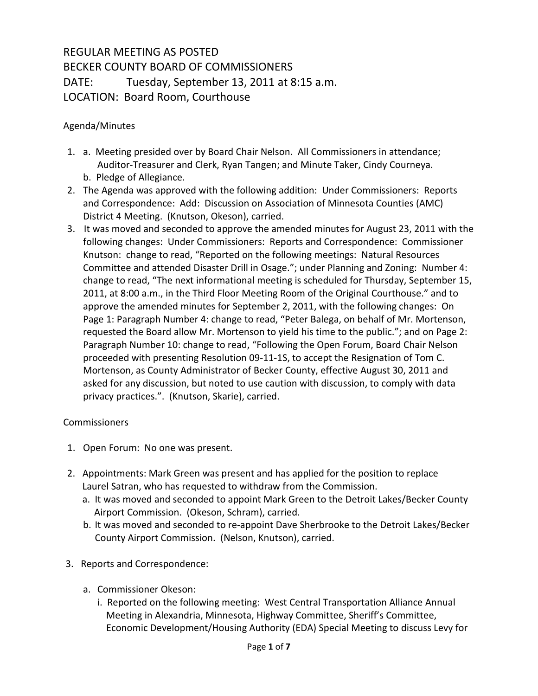## REGULAR MEETING AS POSTED BECKER COUNTY BOARD OF COMMISSIONERS DATE: Tuesday, September 13, 2011 at 8:15 a.m. LOCATION: Board Room, Courthouse

## Agenda/Minutes

- 1. a. Meeting presided over by Board Chair Nelson. All Commissioners in attendance; Auditor-Treasurer and Clerk, Ryan Tangen; and Minute Taker, Cindy Courneya. b. Pledge of Allegiance.
- 2. The Agenda was approved with the following addition: Under Commissioners: Reports and Correspondence: Add: Discussion on Association of Minnesota Counties (AMC) District 4 Meeting. (Knutson, Okeson), carried.
- 3. It was moved and seconded to approve the amended minutes for August 23, 2011 with the following changes: Under Commissioners: Reports and Correspondence: Commissioner Knutson: change to read, "Reported on the following meetings: Natural Resources Committee and attended Disaster Drill in Osage."; under Planning and Zoning: Number 4: change to read, "The next informational meeting is scheduled for Thursday, September 15, 2011, at 8:00 a.m., in the Third Floor Meeting Room of the Original Courthouse." and to approve the amended minutes for September 2, 2011, with the following changes: On Page 1: Paragraph Number 4: change to read, "Peter Balega, on behalf of Mr. Mortenson, requested the Board allow Mr. Mortenson to yield his time to the public."; and on Page 2: Paragraph Number 10: change to read, "Following the Open Forum, Board Chair Nelson proceeded with presenting Resolution 09-11-1S, to accept the Resignation of Tom C. Mortenson, as County Administrator of Becker County, effective August 30, 2011 and asked for any discussion, but noted to use caution with discussion, to comply with data privacy practices.". (Knutson, Skarie), carried.

## Commissioners

- 1. Open Forum: No one was present.
- 2. Appointments: Mark Green was present and has applied for the position to replace Laurel Satran, who has requested to withdraw from the Commission.
	- a. It was moved and seconded to appoint Mark Green to the Detroit Lakes/Becker County Airport Commission. (Okeson, Schram), carried.
	- b. It was moved and seconded to re-appoint Dave Sherbrooke to the Detroit Lakes/Becker County Airport Commission. (Nelson, Knutson), carried.
- 3. Reports and Correspondence:
	- a. Commissioner Okeson:
		- i. Reported on the following meeting: West Central Transportation Alliance Annual Meeting in Alexandria, Minnesota, Highway Committee, Sheriff's Committee, Economic Development/Housing Authority (EDA) Special Meeting to discuss Levy for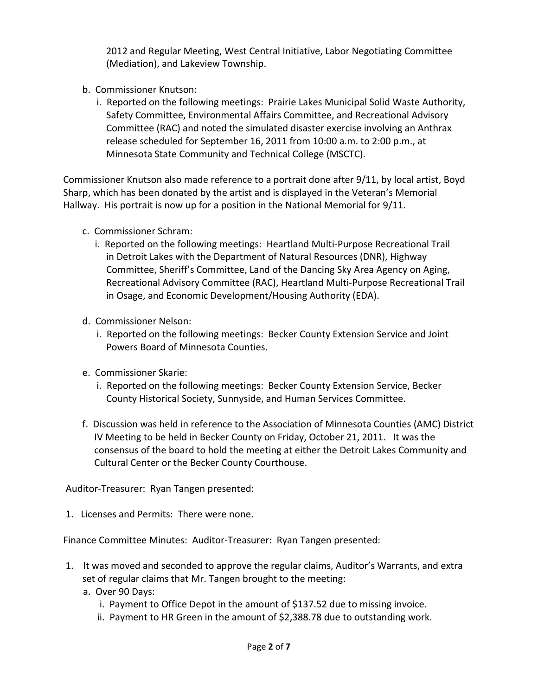2012 and Regular Meeting, West Central Initiative, Labor Negotiating Committee (Mediation), and Lakeview Township.

- b. Commissioner Knutson:
	- i. Reported on the following meetings: Prairie Lakes Municipal Solid Waste Authority, Safety Committee, Environmental Affairs Committee, and Recreational Advisory Committee (RAC) and noted the simulated disaster exercise involving an Anthrax release scheduled for September 16, 2011 from 10:00 a.m. to 2:00 p.m., at Minnesota State Community and Technical College (MSCTC).

Commissioner Knutson also made reference to a portrait done after 9/11, by local artist, Boyd Sharp, which has been donated by the artist and is displayed in the Veteran's Memorial Hallway. His portrait is now up for a position in the National Memorial for 9/11.

- c. Commissioner Schram:
	- i. Reported on the following meetings: Heartland Multi-Purpose Recreational Trail in Detroit Lakes with the Department of Natural Resources (DNR), Highway Committee, Sheriff's Committee, Land of the Dancing Sky Area Agency on Aging, Recreational Advisory Committee (RAC), Heartland Multi-Purpose Recreational Trail in Osage, and Economic Development/Housing Authority (EDA).
- d. Commissioner Nelson:
	- i. Reported on the following meetings: Becker County Extension Service and Joint Powers Board of Minnesota Counties.
- e. Commissioner Skarie:
	- i. Reported on the following meetings: Becker County Extension Service, Becker County Historical Society, Sunnyside, and Human Services Committee.
- f. Discussion was held in reference to the Association of Minnesota Counties (AMC) District IV Meeting to be held in Becker County on Friday, October 21, 2011. It was the consensus of the board to hold the meeting at either the Detroit Lakes Community and Cultural Center or the Becker County Courthouse.

Auditor-Treasurer: Ryan Tangen presented:

1. Licenses and Permits: There were none.

Finance Committee Minutes: Auditor-Treasurer: Ryan Tangen presented:

- 1. It was moved and seconded to approve the regular claims, Auditor's Warrants, and extra set of regular claims that Mr. Tangen brought to the meeting:
	- a. Over 90 Days:
		- i. Payment to Office Depot in the amount of \$137.52 due to missing invoice.
		- ii. Payment to HR Green in the amount of \$2,388.78 due to outstanding work.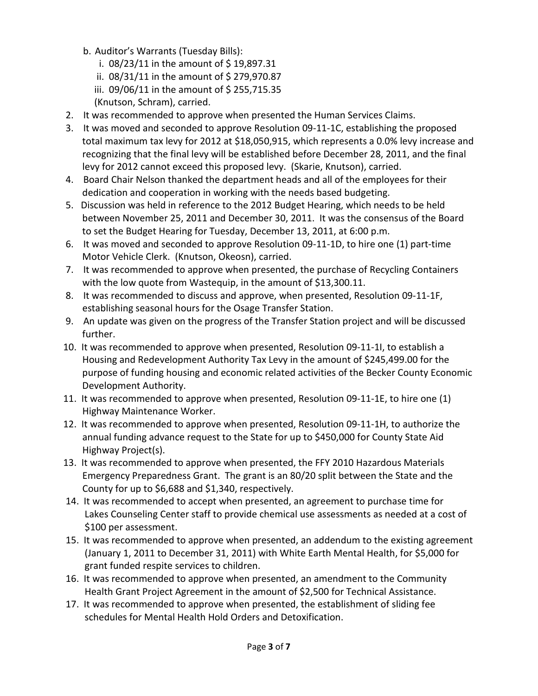- b. Auditor's Warrants (Tuesday Bills):
	- i.  $08/23/11$  in the amount of \$19,897.31
	- ii.  $08/31/11$  in the amount of \$279,970.87
	- iii. 09/06/11 in the amount of \$255,715.35
	- (Knutson, Schram), carried.
- 2. It was recommended to approve when presented the Human Services Claims.
- 3. It was moved and seconded to approve Resolution 09-11-1C, establishing the proposed total maximum tax levy for 2012 at \$18,050,915, which represents a 0.0% levy increase and recognizing that the final levy will be established before December 28, 2011, and the final levy for 2012 cannot exceed this proposed levy. (Skarie, Knutson), carried.
- 4. Board Chair Nelson thanked the department heads and all of the employees for their dedication and cooperation in working with the needs based budgeting.
- 5. Discussion was held in reference to the 2012 Budget Hearing, which needs to be held between November 25, 2011 and December 30, 2011. It was the consensus of the Board to set the Budget Hearing for Tuesday, December 13, 2011, at 6:00 p.m.
- 6. It was moved and seconded to approve Resolution 09-11-1D, to hire one (1) part-time Motor Vehicle Clerk. (Knutson, Okeosn), carried.
- 7. It was recommended to approve when presented, the purchase of Recycling Containers with the low quote from Wastequip, in the amount of \$13,300.11.
- 8. It was recommended to discuss and approve, when presented, Resolution 09-11-1F, establishing seasonal hours for the Osage Transfer Station.
- 9. An update was given on the progress of the Transfer Station project and will be discussed further.
- 10. It was recommended to approve when presented, Resolution 09-11-1I, to establish a Housing and Redevelopment Authority Tax Levy in the amount of \$245,499.00 for the purpose of funding housing and economic related activities of the Becker County Economic Development Authority.
- 11. It was recommended to approve when presented, Resolution 09-11-1E, to hire one (1) Highway Maintenance Worker.
- 12. It was recommended to approve when presented, Resolution 09-11-1H, to authorize the annual funding advance request to the State for up to \$450,000 for County State Aid Highway Project(s).
- 13. It was recommended to approve when presented, the FFY 2010 Hazardous Materials Emergency Preparedness Grant. The grant is an 80/20 split between the State and the County for up to \$6,688 and \$1,340, respectively.
- 14. It was recommended to accept when presented, an agreement to purchase time for Lakes Counseling Center staff to provide chemical use assessments as needed at a cost of \$100 per assessment.
- 15. It was recommended to approve when presented, an addendum to the existing agreement (January 1, 2011 to December 31, 2011) with White Earth Mental Health, for \$5,000 for grant funded respite services to children.
- 16. It was recommended to approve when presented, an amendment to the Community Health Grant Project Agreement in the amount of \$2,500 for Technical Assistance.
- 17. It was recommended to approve when presented, the establishment of sliding fee schedules for Mental Health Hold Orders and Detoxification.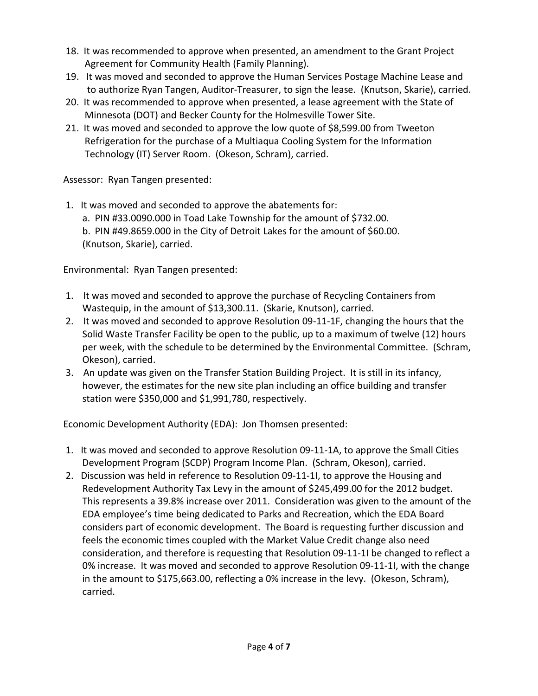- 18. It was recommended to approve when presented, an amendment to the Grant Project Agreement for Community Health (Family Planning).
- 19. It was moved and seconded to approve the Human Services Postage Machine Lease and to authorize Ryan Tangen, Auditor-Treasurer, to sign the lease. (Knutson, Skarie), carried.
- 20. It was recommended to approve when presented, a lease agreement with the State of Minnesota (DOT) and Becker County for the Holmesville Tower Site.
- 21. It was moved and seconded to approve the low quote of \$8,599.00 from Tweeton Refrigeration for the purchase of a Multiaqua Cooling System for the Information Technology (IT) Server Room. (Okeson, Schram), carried.

Assessor: Ryan Tangen presented:

1. It was moved and seconded to approve the abatements for: a. PIN #33.0090.000 in Toad Lake Township for the amount of \$732.00. b. PIN #49.8659.000 in the City of Detroit Lakes for the amount of \$60.00. (Knutson, Skarie), carried.

Environmental: Ryan Tangen presented:

- 1. It was moved and seconded to approve the purchase of Recycling Containers from Wastequip, in the amount of \$13,300.11. (Skarie, Knutson), carried.
- 2. It was moved and seconded to approve Resolution 09-11-1F, changing the hours that the Solid Waste Transfer Facility be open to the public, up to a maximum of twelve (12) hours per week, with the schedule to be determined by the Environmental Committee. (Schram, Okeson), carried.
- 3. An update was given on the Transfer Station Building Project. It is still in its infancy, however, the estimates for the new site plan including an office building and transfer station were \$350,000 and \$1,991,780, respectively.

Economic Development Authority (EDA): Jon Thomsen presented:

- 1. It was moved and seconded to approve Resolution 09-11-1A, to approve the Small Cities Development Program (SCDP) Program Income Plan. (Schram, Okeson), carried.
- 2. Discussion was held in reference to Resolution 09-11-1I, to approve the Housing and Redevelopment Authority Tax Levy in the amount of \$245,499.00 for the 2012 budget. This represents a 39.8% increase over 2011. Consideration was given to the amount of the EDA employee's time being dedicated to Parks and Recreation, which the EDA Board considers part of economic development. The Board is requesting further discussion and feels the economic times coupled with the Market Value Credit change also need consideration, and therefore is requesting that Resolution 09-11-1I be changed to reflect a 0% increase. It was moved and seconded to approve Resolution 09-11-1I, with the change in the amount to \$175,663.00, reflecting a 0% increase in the levy. (Okeson, Schram), carried.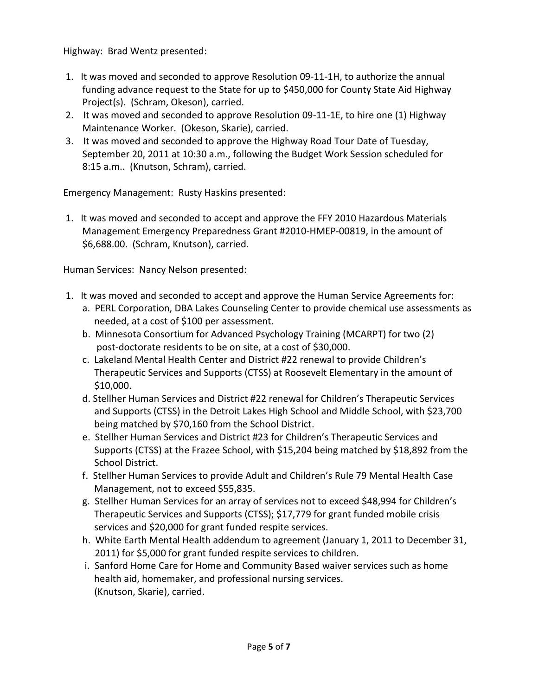Highway: Brad Wentz presented:

- 1. It was moved and seconded to approve Resolution 09-11-1H, to authorize the annual funding advance request to the State for up to \$450,000 for County State Aid Highway Project(s). (Schram, Okeson), carried.
- 2. It was moved and seconded to approve Resolution 09-11-1E, to hire one (1) Highway Maintenance Worker. (Okeson, Skarie), carried.
- 3. It was moved and seconded to approve the Highway Road Tour Date of Tuesday, September 20, 2011 at 10:30 a.m., following the Budget Work Session scheduled for 8:15 a.m.. (Knutson, Schram), carried.

Emergency Management: Rusty Haskins presented:

1. It was moved and seconded to accept and approve the FFY 2010 Hazardous Materials Management Emergency Preparedness Grant #2010-HMEP-00819, in the amount of \$6,688.00. (Schram, Knutson), carried.

Human Services: Nancy Nelson presented:

- 1. It was moved and seconded to accept and approve the Human Service Agreements for:
	- a. PERL Corporation, DBA Lakes Counseling Center to provide chemical use assessments as needed, at a cost of \$100 per assessment.
	- b. Minnesota Consortium for Advanced Psychology Training (MCARPT) for two (2) post-doctorate residents to be on site, at a cost of \$30,000.
	- c. Lakeland Mental Health Center and District #22 renewal to provide Children's Therapeutic Services and Supports (CTSS) at Roosevelt Elementary in the amount of \$10,000.
	- d. Stellher Human Services and District #22 renewal for Children's Therapeutic Services and Supports (CTSS) in the Detroit Lakes High School and Middle School, with \$23,700 being matched by \$70,160 from the School District.
	- e. Stellher Human Services and District #23 for Children's Therapeutic Services and Supports (CTSS) at the Frazee School, with \$15,204 being matched by \$18,892 from the School District.
	- f. Stellher Human Services to provide Adult and Children's Rule 79 Mental Health Case Management, not to exceed \$55,835.
	- g. Stellher Human Services for an array of services not to exceed \$48,994 for Children's Therapeutic Services and Supports (CTSS); \$17,779 for grant funded mobile crisis services and \$20,000 for grant funded respite services.
	- h. White Earth Mental Health addendum to agreement (January 1, 2011 to December 31, 2011) for \$5,000 for grant funded respite services to children.
	- i. Sanford Home Care for Home and Community Based waiver services such as home health aid, homemaker, and professional nursing services. (Knutson, Skarie), carried.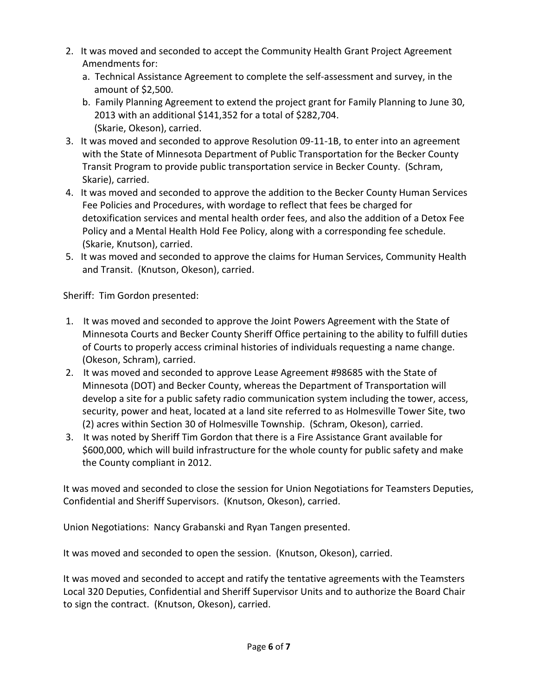- 2. It was moved and seconded to accept the Community Health Grant Project Agreement Amendments for:
	- a. Technical Assistance Agreement to complete the self-assessment and survey, in the amount of \$2,500.
	- b. Family Planning Agreement to extend the project grant for Family Planning to June 30, 2013 with an additional \$141,352 for a total of \$282,704. (Skarie, Okeson), carried.
- 3. It was moved and seconded to approve Resolution 09-11-1B, to enter into an agreement with the State of Minnesota Department of Public Transportation for the Becker County Transit Program to provide public transportation service in Becker County. (Schram, Skarie), carried.
- 4. It was moved and seconded to approve the addition to the Becker County Human Services Fee Policies and Procedures, with wordage to reflect that fees be charged for detoxification services and mental health order fees, and also the addition of a Detox Fee Policy and a Mental Health Hold Fee Policy, along with a corresponding fee schedule. (Skarie, Knutson), carried.
- 5. It was moved and seconded to approve the claims for Human Services, Community Health and Transit. (Knutson, Okeson), carried.

Sheriff: Tim Gordon presented:

- 1. It was moved and seconded to approve the Joint Powers Agreement with the State of Minnesota Courts and Becker County Sheriff Office pertaining to the ability to fulfill duties of Courts to properly access criminal histories of individuals requesting a name change. (Okeson, Schram), carried.
- 2. It was moved and seconded to approve Lease Agreement #98685 with the State of Minnesota (DOT) and Becker County, whereas the Department of Transportation will develop a site for a public safety radio communication system including the tower, access, security, power and heat, located at a land site referred to as Holmesville Tower Site, two (2) acres within Section 30 of Holmesville Township. (Schram, Okeson), carried.
- 3. It was noted by Sheriff Tim Gordon that there is a Fire Assistance Grant available for \$600,000, which will build infrastructure for the whole county for public safety and make the County compliant in 2012.

It was moved and seconded to close the session for Union Negotiations for Teamsters Deputies, Confidential and Sheriff Supervisors. (Knutson, Okeson), carried.

Union Negotiations: Nancy Grabanski and Ryan Tangen presented.

It was moved and seconded to open the session. (Knutson, Okeson), carried.

It was moved and seconded to accept and ratify the tentative agreements with the Teamsters Local 320 Deputies, Confidential and Sheriff Supervisor Units and to authorize the Board Chair to sign the contract. (Knutson, Okeson), carried.